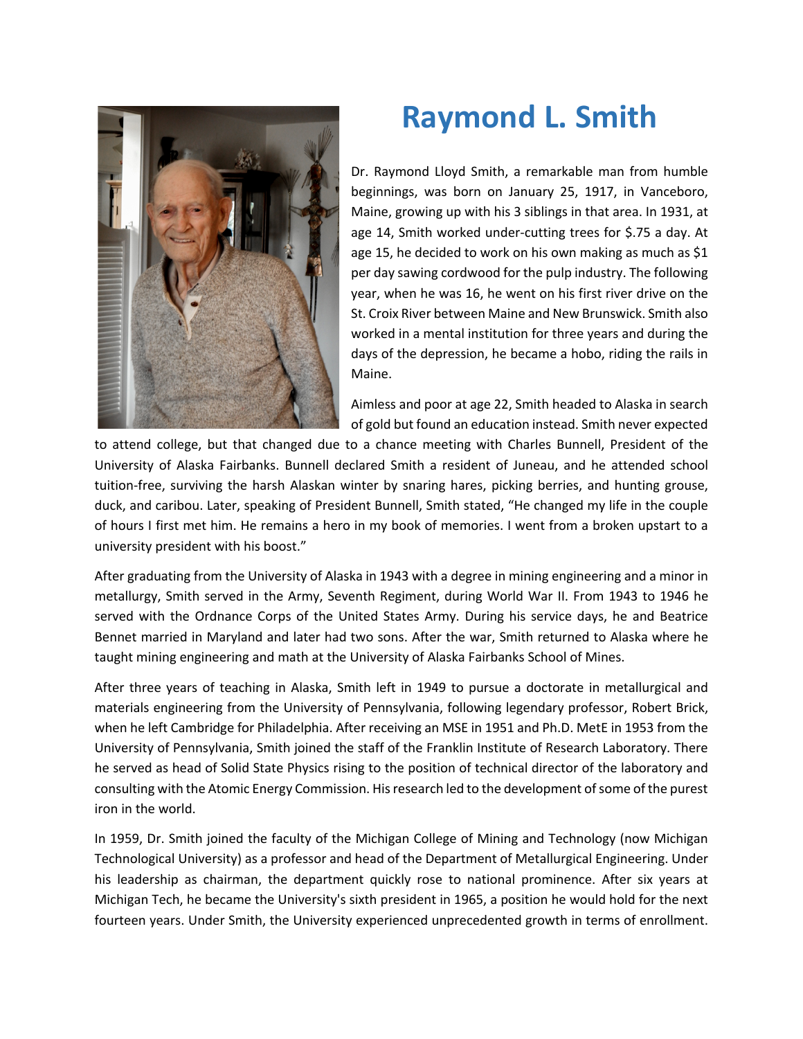

## **Raymond L. Smith**

Dr. Raymond Lloyd Smith, a remarkable man from humble beginnings, was born on January 25, 1917, in Vanceboro, Maine, growing up with his 3 siblings in that area. In 1931, at age 14, Smith worked under-cutting trees for \$.75 a day. At age 15, he decided to work on his own making as much as \$1 per day sawing cordwood for the pulp industry. The following year, when he was 16, he went on his first river drive on the St. Croix River between Maine and New Brunswick. Smith also worked in a mental institution for three years and during the days of the depression, he became a hobo, riding the rails in Maine.

Aimless and poor at age 22, Smith headed to Alaska in search of gold but found an education instead. Smith never expected

to attend college, but that changed due to a chance meeting with Charles Bunnell, President of the University of Alaska Fairbanks. Bunnell declared Smith a resident of Juneau, and he attended school tuition-free, surviving the harsh Alaskan winter by snaring hares, picking berries, and hunting grouse, duck, and caribou. Later, speaking of President Bunnell, Smith stated, "He changed my life in the couple of hours I first met him. He remains a hero in my book of memories. I went from a broken upstart to a university president with his boost."

After graduating from the University of Alaska in 1943 with a degree in mining engineering and a minor in metallurgy, Smith served in the Army, Seventh Regiment, during World War II. From 1943 to 1946 he served with the Ordnance Corps of the United States Army. During his service days, he and Beatrice Bennet married in Maryland and later had two sons. After the war, Smith returned to Alaska where he taught mining engineering and math at the University of Alaska Fairbanks School of Mines.

After three years of teaching in Alaska, Smith left in 1949 to pursue a doctorate in metallurgical and materials engineering from the University of Pennsylvania, following legendary professor, Robert Brick, when he left Cambridge for Philadelphia. After receiving an MSE in 1951 and Ph.D. MetE in 1953 from the University of Pennsylvania, Smith joined the staff of the Franklin Institute of Research Laboratory. There he served as head of Solid State Physics rising to the position of technical director of the laboratory and consulting with the Atomic Energy Commission. His research led to the development of some of the purest iron in the world.

In 1959, Dr. Smith joined the faculty of the Michigan College of Mining and Technology (now Michigan Technological University) as a professor and head of the Department of Metallurgical Engineering. Under his leadership as chairman, the department quickly rose to national prominence. After six years at Michigan Tech, he became the University's sixth president in 1965, a position he would hold for the next fourteen years. Under Smith, the University experienced unprecedented growth in terms of enrollment.